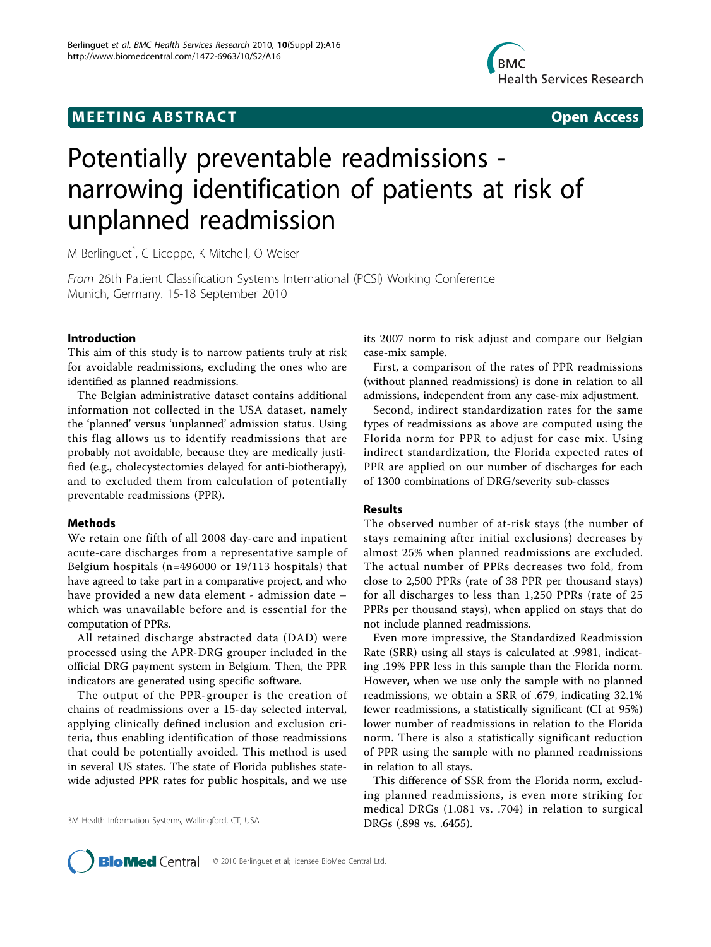# **MEETING ABSTRACT CONSUMING ABSTRACT**



# Potentially preventable readmissions narrowing identification of patients at risk of unplanned readmission

M Berlinguet\* , C Licoppe, K Mitchell, O Weiser

From 26th Patient Classification Systems International (PCSI) Working Conference Munich, Germany. 15-18 September 2010

## Introduction

This aim of this study is to narrow patients truly at risk for avoidable readmissions, excluding the ones who are identified as planned readmissions.

The Belgian administrative dataset contains additional information not collected in the USA dataset, namely the 'planned' versus 'unplanned' admission status. Using this flag allows us to identify readmissions that are probably not avoidable, because they are medically justified (e.g., cholecystectomies delayed for anti-biotherapy), and to excluded them from calculation of potentially preventable readmissions (PPR).

## Methods

We retain one fifth of all 2008 day-care and inpatient acute-care discharges from a representative sample of Belgium hospitals (n=496000 or 19/113 hospitals) that have agreed to take part in a comparative project, and who have provided a new data element - admission date – which was unavailable before and is essential for the computation of PPRs.

All retained discharge abstracted data (DAD) were processed using the APR-DRG grouper included in the official DRG payment system in Belgium. Then, the PPR indicators are generated using specific software.

The output of the PPR-grouper is the creation of chains of readmissions over a 15-day selected interval, applying clinically defined inclusion and exclusion criteria, thus enabling identification of those readmissions that could be potentially avoided. This method is used in several US states. The state of Florida publishes statewide adjusted PPR rates for public hospitals, and we use

3M Health Information Systems, Wallingford, CT, USA DRGs (.898 vs. .6455).

its 2007 norm to risk adjust and compare our Belgian case-mix sample.

First, a comparison of the rates of PPR readmissions (without planned readmissions) is done in relation to all admissions, independent from any case-mix adjustment.

Second, indirect standardization rates for the same types of readmissions as above are computed using the Florida norm for PPR to adjust for case mix. Using indirect standardization, the Florida expected rates of PPR are applied on our number of discharges for each of 1300 combinations of DRG/severity sub-classes

## Results

The observed number of at-risk stays (the number of stays remaining after initial exclusions) decreases by almost 25% when planned readmissions are excluded. The actual number of PPRs decreases two fold, from close to 2,500 PPRs (rate of 38 PPR per thousand stays) for all discharges to less than 1,250 PPRs (rate of 25 PPRs per thousand stays), when applied on stays that do not include planned readmissions.

Even more impressive, the Standardized Readmission Rate (SRR) using all stays is calculated at .9981, indicating .19% PPR less in this sample than the Florida norm. However, when we use only the sample with no planned readmissions, we obtain a SRR of .679, indicating 32.1% fewer readmissions, a statistically significant (CI at 95%) lower number of readmissions in relation to the Florida norm. There is also a statistically significant reduction of PPR using the sample with no planned readmissions in relation to all stays.

This difference of SSR from the Florida norm, excluding planned readmissions, is even more striking for medical DRGs (1.081 vs. .704) in relation to surgical